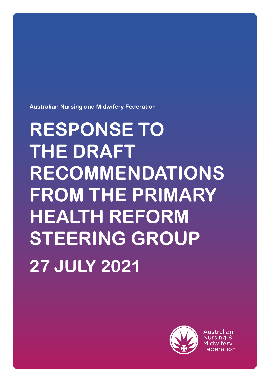**Australian Nursing and Midwifery Federation** 

# **RESPONSE TO THE DRAFT RECOMMENDATIONS FROM THE PRIMARY HEALTH REFORM STEERING GROUP 27 JULY 2021**



Australian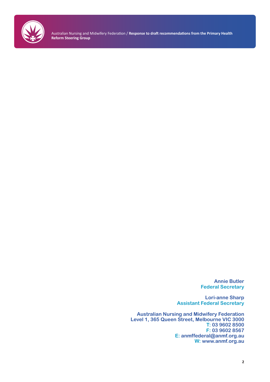

> **Annie Butler Federal Secretary**

**Lori-anne Sharp Assistant Federal Secretary**

**Australian Nursing and Midwifery Federation Level 1, 365 Queen Street, Melbourne VIC 3000 T: 03 9602 8500 F: 03 9602 8567 E: anmffederal@anmf.org.au W: www.anmf.org.au**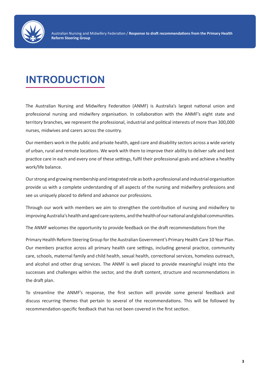

## **INTRODUCTION**

The Australian Nursing and Midwifery Federation (ANMF) is Australia's largest national union and professional nursing and midwifery organisation. In collaboration with the ANMF's eight state and territory branches, we represent the professional, industrial and political interests of more than 300,000 nurses, midwives and carers across the country.

Our members work in the public and private health, aged care and disability sectors across a wide variety of urban, rural and remote locations. We work with them to improve their ability to deliver safe and best practice care in each and every one of these settings, fulfil their professional goals and achieve a healthy work/life balance.

Our strong and growing membership and integrated role as both a professional and industrial organisation provide us with a complete understanding of all aspects of the nursing and midwifery professions and see us uniquely placed to defend and advance our professions.

Through our work with members we aim to strengthen the contribution of nursing and midwifery to improving Australia's health and aged care systems, and the health of our national and global communities.

The ANMF welcomes the opportunity to provide feedback on the draft recommendations from the

Primary Health Reform Steering Group for the Australian Government's Primary Health Care 10 Year Plan. Our members practice across all primary health care settings, including general practice, community care, schools, maternal family and child health, sexual health, correctional services, homeless outreach, and alcohol and other drug services. The ANMF is well placed to provide meaningful insight into the successes and challenges within the sector, and the draft content, structure and recommendations in the draft plan.

To streamline the ANMF's response, the first section will provide some general feedback and discuss recurring themes that pertain to several of the recommendations. This will be followed by recommendation-specific feedback that has not been covered in the first section.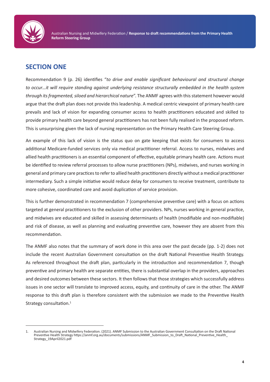

## **SECTION ONE**

Recommendation 9 (p. 26) identifies "*to drive and enable significant behavioural and structural change to occur…it will require standing against underlying resistance structurally embedded in the health system through its fragmented, siloed and hierarchical nature*". The ANMF agrees with this statement however would argue that the draft plan does not provide this leadership. A medical centric viewpoint of primary health care prevails and lack of vision for expanding consumer access to health practitioners educated and skilled to provide primary health care beyond general practitioners has not been fully realised in the proposed reform. This is unsurprising given the lack of nursing representation on the Primary Health Care Steering Group.

An example of this lack of vision is the status quo on gate keeping that exists for consumers to access additional Medicare-funded services only via medical practitioner referral. Access to nurses, midwives and allied health practitioners is an essential component of effective, equitable primary health care. Actions must be identified to review referral processes to allow nurse practitioners (NPs), midwives, and nurses working in general and primary care practices to refer to allied health practitioners directly without a medical practitioner intermediary. Such a simple initiative would reduce delay for consumers to receive treatment, contribute to more cohesive, coordinated care and avoid duplication of service provision.

This is further demonstrated in recommendation 7 (comprehensive preventive care) with a focus on actions targeted at general practitioners to the exclusion of other providers. NPs, nurses working in general practice, and midwives are educated and skilled in assessing determinants of health (modifiable and non-modifiable) and risk of disease, as well as planning and evaluating preventive care, however they are absent from this recommendation.

The ANMF also notes that the summary of work done in this area over the past decade (pp. 1-2) does not include the recent Australian Government consultation on the draft National Preventive Health Strategy. As referenced throughout the draft plan, particularly in the introduction and recommendation 7, though preventive and primary health are separate entities, there is substantial overlap in the providers, approaches and desired outcomes between these sectors. It then follows that those strategies which successfully address issues in one sector will translate to improved access, equity, and continuity of care in the other. The ANMF response to this draft plan is therefore consistent with the submission we made to the Preventive Health Strategy consultation.<sup>1</sup>

<sup>1.</sup> Australian Nursing and Midwifery Federation. (2021). ANMF Submission to the Australian Government Consultation on the Draft National Preventive Health Strategy https://anmf.org.au/documents/submissions/ANMF\_Submission\_to\_Draft\_National\_Preventive\_Health\_ Strategy\_19April2021.pdf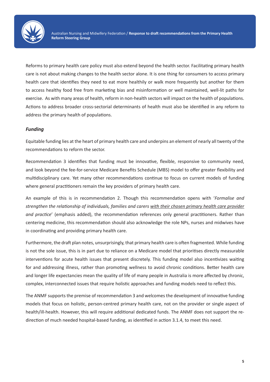

Reforms to primary health care policy must also extend beyond the health sector. Facilitating primary health care is not about making changes to the health sector alone. It is one thing for consumers to access primary health care that identifies they need to eat more healthily or walk more frequently but another for them to access healthy food free from marketing bias and misinformation or well maintained, well-lit paths for exercise. As with many areas of health, reform in non-health sectors will impact on the health of populations. Actions to address broader cross-sectorial determinants of health must also be identified in any reform to address the primary health of populations.

#### *Funding*

Equitable funding lies at the heart of primary health care and underpins an element of nearly all twenty of the recommendations to reform the sector.

Recommendation 3 identifies that funding must be innovative, flexible, responsive to community need, and look beyond the fee-for-service Medicare Benefits Schedule (MBS) model to offer greater flexibility and multidisciplinary care. Yet many other recommendations continue to focus on current models of funding where general practitioners remain the key providers of primary health care.

An example of this is in recommendation 2. Though this recommendation opens with '*Formalise and strengthen the relationship of individuals, families and carers with their chosen primary health care provider and practice*' (emphasis added), the recommendation references only general practitioners. Rather than centering medicine, this recommendation should also acknowledge the role NPs, nurses and midwives have in coordinating and providing primary health care.

Furthermore, the draft plan notes, unsurprisingly, that primary health care is often fragmented. While funding is not the sole issue, this is in part due to reliance on a Medicare model that prioritises directly measurable interventions for acute health issues that present discretely. This funding model also incentivizes waiting for and addressing illness, rather than promoting wellness to avoid chronic conditions. Better health care and longer life expectancies mean the quality of life of many people in Australia is more affected by chronic, complex, interconnected issues that require holistic approaches and funding models need to reflect this.

The ANMF supports the premise of recommendation 3 and welcomes the development of innovative funding models that focus on holistic, person-centred primary health care, not on the provider or single aspect of health/ill-health. However, this will require additional dedicated funds. The ANMF does not support the redirection of much needed hospital-based funding, as identified in action 3.1.4, to meet this need.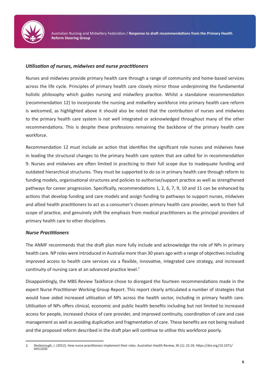

#### *Utilisation of nurses, midwives and nurse practitioners*

Nurses and midwives provide primary health care through a range of community and home-based services across the life cycle. Principles of primary health care closely mirror those underpinning the fundamental holistic philosophy which guides nursing and midwifery practice. Whilst a standalone recommendation (recommendation 12) to incorporate the nursing and midwifery workforce into primary health care reform is welcomed, as highlighted above it should also be noted that the contribution of nurses and midwives to the primary health care system is not well integrated or acknowledged throughout many of the other recommendations. This is despite these professions remaining the backbone of the primary health care workforce.

Recommendation 12 must include an action that identifies the significant role nurses and midwives have in leading the structural changes to the primary health care system that are called for in recommendation 9. Nurses and midwives are often limited in practicing to their full scope due to inadequate funding and outdated hierarchical structures. They must be supported to do so in primary health care through reform to funding models, organisational structures and policies to authorise/support practice as well as strengthened pathways for career progression. Specifically, recommendations 1, 2, 6, 7, 9, 10 and 11 can be enhanced by actions that develop funding and care models and assign funding to pathways to support nurses, midwives and allied health practitioners to act as a consumer's chosen primary health care provider, work to their full scope of practice, and genuinely shift the emphasis from medical practitioners as the principal providers of primary health care to other disciplines.

#### *Nurse Practitioners*

The ANMF recommends that the draft plan more fully include and acknowledge the role of NPs in primary health care. NP roles were introduced in Australia more than 30 years ago with a range of objectives including improved access to health care services via a flexible, innovative, integrated care strategy, and increased continuity of nursing care at an advanced practice level.<sup>2</sup>

Disappointingly, the MBS Review Taskforce chose to disregard the fourteen recommendations made in the expert Nurse Practitioner Working Group Report. This report clearly articulated a number of strategies that would have aided increased utilisation of NPs across the health sector, including in primary health care. Utilisation of NPs offers clinical, economic and public health benefits including but not limited to increased access for people, increased choice of care provider, and improved continuity, coordination of care and case management as well as avoiding duplication and fragmentation of care. These benefits are not being realised and the proposed reform described in the draft plan will continue to utilise this workforce poorly.

<sup>2.</sup> Desborough, J. (2012). How nurse practitioners implement their roles. Australian Health Review, 36 (1): 22-26. https://doi.org/10.1071/ AH11030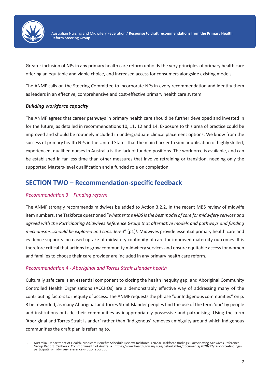

Greater inclusion of NPs in any primary health care reform upholds the very principles of primary health care offering an equitable and viable choice, and increased access for consumers alongside existing models.

The ANMF calls on the Steering Committee to incorporate NPs in every recommendation and identify them as leaders in an effective, comprehensive and cost-effective primary health care system.

#### *Building workforce capacity*

The ANMF agrees that career pathways in primary health care should be further developed and invested in for the future, as detailed in recommendations 10, 11, 12 and 14. Exposure to this area of practice could be improved and should be routinely included in undergraduate clinical placement options. We know from the success of primary health NPs in the United States that the main barrier to similar utilisation of highly skilled, experienced, qualified nurses in Australia is the lack of funded positions. The workforce is available, and can be established in far less time than other measures that involve retraining or transition, needing only the supported Masters-level qualification and a funded role on completion.

### **SECTION TWO – Recommendation-specific feedback**

#### *Recommendation 3 – Funding reform*

The ANMF strongly recommends midwives be added to Action 3.2.2. In the recent MBS review of midwife item numbers, the Taskforce questioned "*whether the MBS is the best model of care for midwifery services and agreed with the Participating Midwives Reference Group that alternative models and pathways and funding*  mechanisms...should be explored and considered" (p1)<sup>3</sup>. Midwives provide essential primary health care and evidence supports increased uptake of midwifery continuity of care for improved maternity outcomes. It is therefore critical that actions to grow community midwifery services and ensure equitable access for women and families to choose their care provider are included in any primary health care reform.

#### *Recommendation 4 - Aboriginal and Torres Strait Islander health*

Culturally safe care is an essential component to closing the health inequity gap, and Aboriginal Community Controlled Health Organisations (ACCHOs) are a demonstrably effective way of addressing many of the contributing factors to inequity of access. The ANMF requests the phrase "our Indigenous communities" on p. 3 be reworded, as many Aboriginal and Torres Strait Islander peoples find the use of the term 'our' by people and institutions outside their communities as inappropriately possessive and patronising. Using the term 'Aboriginal and Torres Strait Islander' rather than 'Indigenous' removes ambiguity around which Indigenous communities the draft plan is referring to.

<sup>3.</sup> Australia. Department of Health, Medicare Benefits Schedule Review Taskforce. (2020). Taskforce findings: Participating Midwives Reference<br>-Group Report. Canberra: Commonwealth of Australia. https://www.health.gov.au/si participating-midwives-reference-group-report.pdf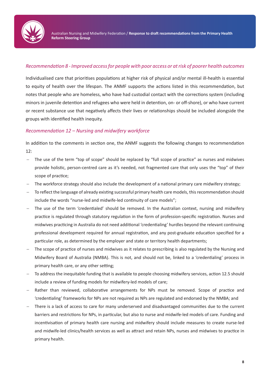

#### *Recommendation 8 - Improved access for people with poor access or at risk of poorer health outcomes*

Individualised care that prioritises populations at higher risk of physical and/or mental ill-health is essential to equity of health over the lifespan. The ANMF supports the actions listed in this recommendation, but notes that people who are homeless, who have had custodial contact with the corrections system (including minors in juvenile detention and refugees who were held in detention, on- or off-shore), or who have current or recent substance use that negatively affects their lives or relationships should be included alongside the groups with identified health inequity.

#### *Recommendation 12 – Nursing and midwifery workforce*

In addition to the comments in section one, the ANMF suggests the following changes to recommendation 12:

- − The use of the term "top of scope" should be replaced by "full scope of practice" as nurses and midwives provide holistic, person-centred care as it's needed, not fragmented care that only uses the "top" of their scope of practice;
- The workforce strategy should also include the development of a national primary care midwifery strategy;
- − To reflect the language of already existing successful primary health care models, this recommendation should include the words "nurse-led and midwife-led continuity of care models";
- The use of the term 'credentialed' should be removed. In the Australian context, nursing and midwifery practice is regulated through statutory regulation in the form of profession-specific registration. Nurses and midwives practicing in Australia do not need additional 'credentialing' hurdles beyond the relevant continuing professional development required for annual registration, and any post-graduate education specified for a particular role, as determined by the employer and state or territory health departments;
- The scope of practice of nurses and midwives as it relates to prescribing is also regulated by the Nursing and Midwifery Board of Australia (NMBA). This is not, and should not be, linked to a 'credentialing' process in primary health care, or any other setting;
- − To address the inequitable funding that is available to people choosing midwifery services, action 12.5 should include a review of funding models for midwifery-led models of care;
- Rather than reviewed, collaborative arrangements for NPs must be removed. Scope of practice and 'credentialing' frameworks for NPs are not required as NPs are regulated and endorsed by the NMBA; and
- There is a lack of access to care for many underserved and disadvantaged communities due to the current barriers and restrictions for NPs, in particular, but also to nurse and midwife-led models of care. Funding and incentivisation of primary health care nursing and midwifery should include measures to create nurse-led and midwife-led clinics/health services as well as attract and retain NPs, nurses and midwives to practice in primary health.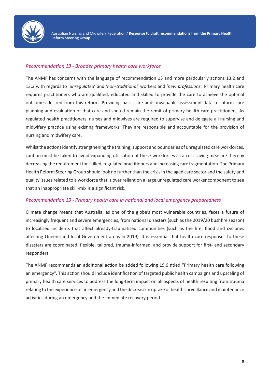

#### *Recommendation 13 - Broader primary health care workforce*

The ANMF has concerns with the language of recommendation 13 and more particularly actions 13.2 and 13.3 with regards to '*unregulated*' and '*non-traditional*' workers and '*new professions*.' Primary health care requires practitioners who are qualified, educated and skilled to provide the care to achieve the optimal outcomes desired from this reform. Providing basic care adds invaluable assessment data to inform care planning and evaluation of that care and should remain the remit of primary health care practitioners. As regulated health practitioners, nurses and midwives are required to supervise and delegate all nursing and midwifery practice using existing frameworks. They are responsible and accountable for the provision of nursing and midwifery care.

Whilst the actions identify strengthening the training, support and boundaries of unregulated care workforces, caution must be taken to avoid expanding utilisation of these workforces as a cost saving measure thereby decreasing the requirement for skilled, regulated practitioners and increasing care fragmentation. The Primary Health Reform Steering Group should look no further than the crisis in the aged care sector and the safety and quality issues related to a workforce that is over reliant on a large unregulated care worker component to see that an inappropriate skill-mix is a significant risk.

#### *Recommendation 19 - Primary health care in national and local emergency preparedness*

Climate change means that Australia, as one of the globe's most vulnerable countries, faces a future of increasingly frequent and severe emergencies, from national disasters (such as the 2019/20 bushfire season) to localised incidents that affect already-traumatised communities (such as the fire, flood and cyclones affecting Queensland local Government areas in 2019). It is essential that health care responses to these disasters are coordinated, flexible, tailored, trauma-informed, and provide support for first- and secondary responders.

The ANMF recommends an additional action be added following 19.6 titled "Primary health care following an emergency". This action should include identification of targeted public health campaigns and upscaling of primary health care services to address the long-term impact on all aspects of health resulting from trauma relating to the experience of an emergency and the decrease in uptake of health surveillance and maintenance activities during an emergency and the immediate recovery period.